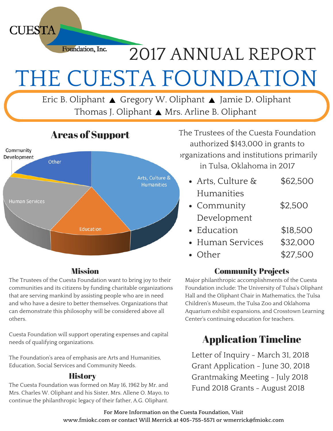Foundation, Inc. 2017 ANNUAL REPORT THE CUESTA FOUNDATION

Eric B. Oliphant ▲ Gregory W. Oliphant ▲ Jamie D. Oliphant Thomas J. Oliphant ▲ Mrs. Arline B. Oliphant



**CUESTA** 

#### **Mission**

The Trustees of the Cuesta Foundation want to bring joy to their communities and its citizens by funding charitable organizations that are serving mankind by assisting people who are in need and who have a desire to better themselves. Organizations that can demonstrate this philosophy will be considered above all others.

Cuesta Foundation will support operating expenses and capital needs of qualifying organizations.

The Foundation's area of emphasis are Arts and Humanities, Education, Social Services and Community Needs.

#### **History**

The Cuesta Foundation was formed on May 16, 1962 by Mr. and Mrs. Charles W. Oliphant and his Sister, Mrs. Allene O. Mayo, to continue the philanthropic legacy of their father, A.G. Oliphant.

The Trustees of the Cuesta Foundation authorized \$143,000 in grants to organizations and institutions primarily in Tulsa, Oklahoma in 2017

- Arts, Culture & \$62,500 Humanities Community \$2,500 Development
- Education \$18,500
- Human Services \$32,000
- Other \$27,500

### Community Projects

Major philanthropic accomplishments of the Cuesta Foundation include: The University of Tulsa's Oliphant Hall and the Oliphant Chair in Mathematics, the Tulsa Children's Museum, the Tulsa Zoo and Oklahoma Aquarium exhibit expansions, and Crosstown Learning Center's continuing education for teachers.

## Application Timeline

Letter of Inquiry - March 31, 2018 Grant Application - June 30, 2018 Grantmaking Meeting - July 2018 Fund 2018 Grants - August 2018